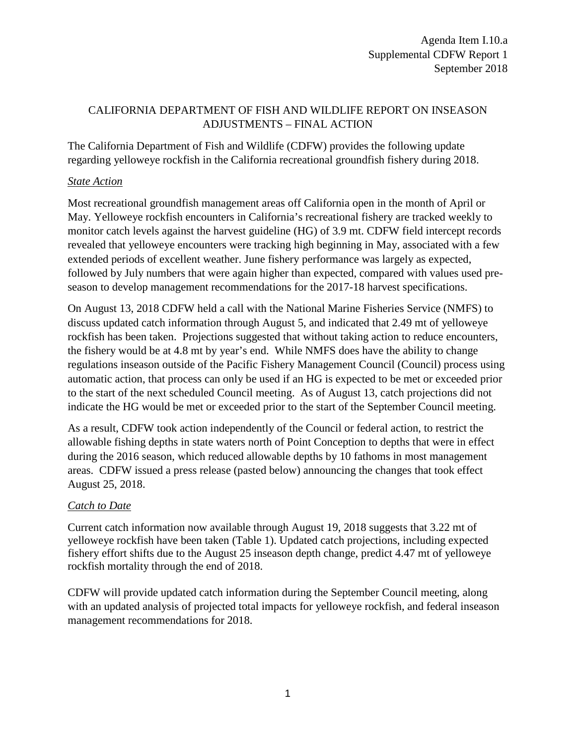# CALIFORNIA DEPARTMENT OF FISH AND WILDLIFE REPORT ON INSEASON ADJUSTMENTS – FINAL ACTION

The California Department of Fish and Wildlife (CDFW) provides the following update regarding yelloweye rockfish in the California recreational groundfish fishery during 2018.

### *State Action*

Most recreational groundfish management areas off California open in the month of April or May. Yelloweye rockfish encounters in California's recreational fishery are tracked weekly to monitor catch levels against the harvest guideline (HG) of 3.9 mt. CDFW field intercept records revealed that yelloweye encounters were tracking high beginning in May, associated with a few extended periods of excellent weather. June fishery performance was largely as expected, followed by July numbers that were again higher than expected, compared with values used preseason to develop management recommendations for the 2017-18 harvest specifications.

On August 13, 2018 CDFW held a call with the National Marine Fisheries Service (NMFS) to discuss updated catch information through August 5, and indicated that 2.49 mt of yelloweye rockfish has been taken. Projections suggested that without taking action to reduce encounters, the fishery would be at 4.8 mt by year's end. While NMFS does have the ability to change regulations inseason outside of the Pacific Fishery Management Council (Council) process using automatic action, that process can only be used if an HG is expected to be met or exceeded prior to the start of the next scheduled Council meeting. As of August 13, catch projections did not indicate the HG would be met or exceeded prior to the start of the September Council meeting.

As a result, CDFW took action independently of the Council or federal action, to restrict the allowable fishing depths in state waters north of Point Conception to depths that were in effect during the 2016 season, which reduced allowable depths by 10 fathoms in most management areas. CDFW issued a press release (pasted below) announcing the changes that took effect August 25, 2018.

# *Catch to Date*

Current catch information now available through August 19, 2018 suggests that 3.22 mt of yelloweye rockfish have been taken (Table 1). Updated catch projections, including expected fishery effort shifts due to the August 25 inseason depth change, predict 4.47 mt of yelloweye rockfish mortality through the end of 2018.

CDFW will provide updated catch information during the September Council meeting, along with an updated analysis of projected total impacts for yelloweye rockfish, and federal inseason management recommendations for 2018.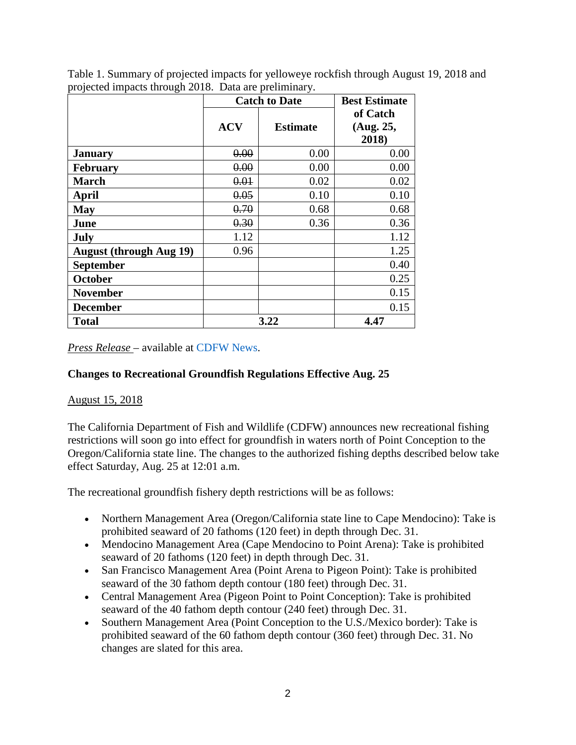| o                              | <b>Catch to Date</b> |                 | <b>Best Estimate</b>           |
|--------------------------------|----------------------|-----------------|--------------------------------|
|                                | <b>ACV</b>           | <b>Estimate</b> | of Catch<br>(Aug. 25,<br>2018) |
| <b>January</b>                 | 0.00                 | 0.00            | 0.00                           |
| <b>February</b>                | 0.00                 | 0.00            | 0.00                           |
| <b>March</b>                   | 0.01                 | 0.02            | 0.02                           |
| April                          | 0.05                 | 0.10            | 0.10                           |
| <b>May</b>                     | 0.70                 | 0.68            | 0.68                           |
| June                           | 0.30                 | 0.36            | 0.36                           |
| <b>July</b>                    | 1.12                 |                 | 1.12                           |
| <b>August (through Aug 19)</b> | 0.96                 |                 | 1.25                           |
| <b>September</b>               |                      |                 | 0.40                           |
| <b>October</b>                 |                      |                 | 0.25                           |
| <b>November</b>                |                      |                 | 0.15                           |
| <b>December</b>                |                      |                 | 0.15                           |
| <b>Total</b>                   | 3.22                 |                 | 4.47                           |

Table 1. Summary of projected impacts for yelloweye rockfish through August 19, 2018 and projected impacts through 2018. Data are preliminary.

*Press Release* – available at [CDFW](https://cdfgnews.wordpress.com/2018/08/15/changes-to-recreational-groundfish-regulations-effective-aug-25/) News.

#### **Changes to Recreational Groundfish Regulations Effective Aug. 25**

#### [August 15, 2018](https://cdfgnews.wordpress.com/2018/08/15/changes-to-recreational-groundfish-regulations-effective-aug-25/)

The California Department of Fish and Wildlife (CDFW) announces new recreational fishing restrictions will soon go into effect for groundfish in waters north of Point Conception to the Oregon/California state line. The changes to the authorized fishing depths described below take effect Saturday, Aug. 25 at 12:01 a.m.

The recreational groundfish fishery depth restrictions will be as follows:

- Northern Management Area (Oregon/California state line to Cape Mendocino): Take is prohibited seaward of 20 fathoms (120 feet) in depth through Dec. 31.
- Mendocino Management Area (Cape Mendocino to Point Arena): Take is prohibited seaward of 20 fathoms (120 feet) in depth through Dec. 31.
- San Francisco Management Area (Point Arena to Pigeon Point): Take is prohibited seaward of the 30 fathom depth contour (180 feet) through Dec. 31.
- Central Management Area (Pigeon Point to Point Conception): Take is prohibited seaward of the 40 fathom depth contour (240 feet) through Dec. 31.
- Southern Management Area (Point Conception to the U.S./Mexico border): Take is prohibited seaward of the 60 fathom depth contour (360 feet) through Dec. 31. No changes are slated for this area.